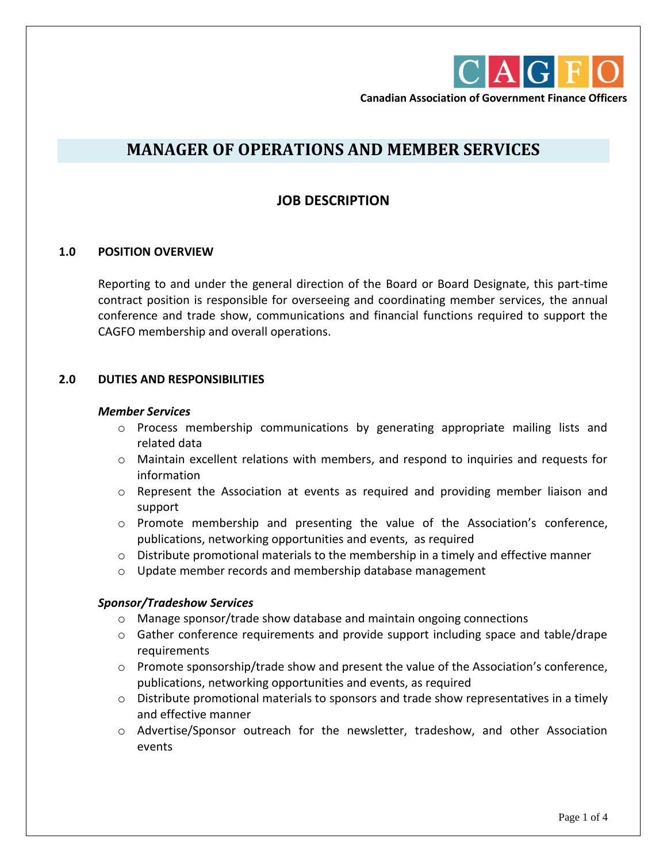

**Canadian Association of Government Finance Officers**

# **MANAGER OF OPERATIONS AND MEMBER SERVICES**

# **JOB DESCRIPTION**

# **1.0 POSITION OVERVIEW**

Reporting to and under the general direction of the Board or Board Designate, this part-time contract position is responsible for overseeing and coordinating member services, the annual conference and trade show, communications and financial functions required to support the CAGFO membership and overall operations.

# **2.0 DUTIES AND RESPONSIBILITIES**

#### *Member Services*

- o Process membership communications by generating appropriate mailing lists and related data
- o Maintain excellent relations with members, and respond to inquiries and requests for information
- $\circ$  Represent the Association at events as required and providing member liaison and support
- o Promote membership and presenting the value of the Association's conference, publications, networking opportunities and events, as required
- $\circ$  Distribute promotional materials to the membership in a timely and effective manner
- o Update member records and membership database management

# *Sponsor/Tradeshow Services*

- $\circ$  Manage sponsor/trade show database and maintain ongoing connections
- $\circ$  Gather conference requirements and provide support including space and table/drape requirements
- $\circ$  Promote sponsorship/trade show and present the value of the Association's conference, publications, networking opportunities and events, as required
- $\circ$  Distribute promotional materials to sponsors and trade show representatives in a timely and effective manner
- o Advertise/Sponsor outreach for the newsletter, tradeshow, and other Association events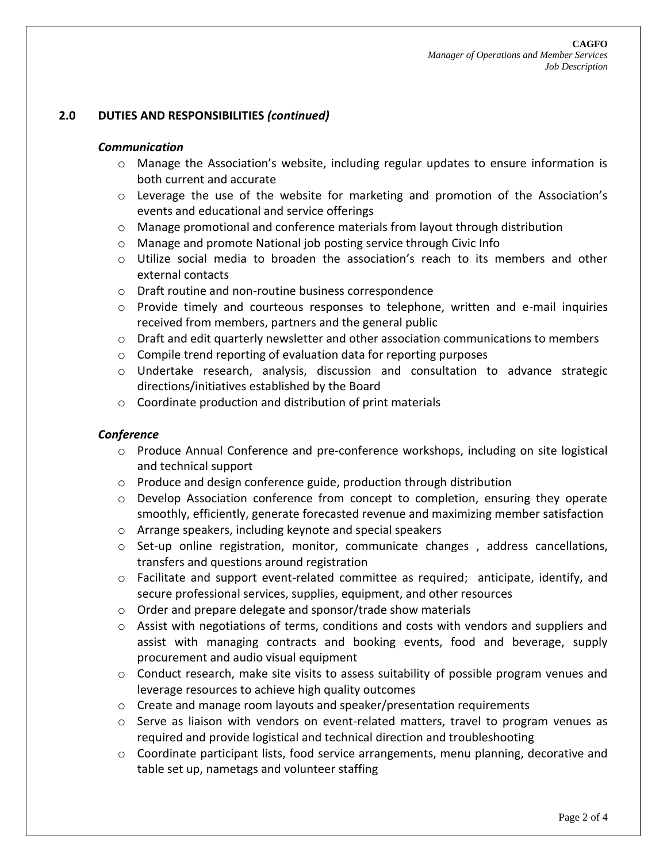# **2.0 DUTIES AND RESPONSIBILITIES** *(continued)*

#### *Communication*

- o Manage the Association's website, including regular updates to ensure information is both current and accurate
- $\circ$  Leverage the use of the website for marketing and promotion of the Association's events and educational and service offerings
- o Manage promotional and conference materials from layout through distribution
- o Manage and promote National job posting service through Civic Info
- $\circ$  Utilize social media to broaden the association's reach to its members and other external contacts
- o Draft routine and non-routine business correspondence
- $\circ$  Provide timely and courteous responses to telephone, written and e-mail inquiries received from members, partners and the general public
- $\circ$  Draft and edit quarterly newsletter and other association communications to members
- o Compile trend reporting of evaluation data for reporting purposes
- o Undertake research, analysis, discussion and consultation to advance strategic directions/initiatives established by the Board
- o Coordinate production and distribution of print materials

#### *Conference*

- o Produce Annual Conference and pre-conference workshops, including on site logistical and technical support
- $\circ$  Produce and design conference guide, production through distribution
- $\circ$  Develop Association conference from concept to completion, ensuring they operate smoothly, efficiently, generate forecasted revenue and maximizing member satisfaction
- o Arrange speakers, including keynote and special speakers
- $\circ$  Set-up online registration, monitor, communicate changes, address cancellations, transfers and questions around registration
- $\circ$  Facilitate and support event-related committee as required; anticipate, identify, and secure professional services, supplies, equipment, and other resources
- o Order and prepare delegate and sponsor/trade show materials
- $\circ$  Assist with negotiations of terms, conditions and costs with vendors and suppliers and assist with managing contracts and booking events, food and beverage, supply procurement and audio visual equipment
- $\circ$  Conduct research, make site visits to assess suitability of possible program venues and leverage resources to achieve high quality outcomes
- $\circ$  Create and manage room layouts and speaker/presentation requirements
- $\circ$  Serve as liaison with vendors on event-related matters, travel to program venues as required and provide logistical and technical direction and troubleshooting
- o Coordinate participant lists, food service arrangements, menu planning, decorative and table set up, nametags and volunteer staffing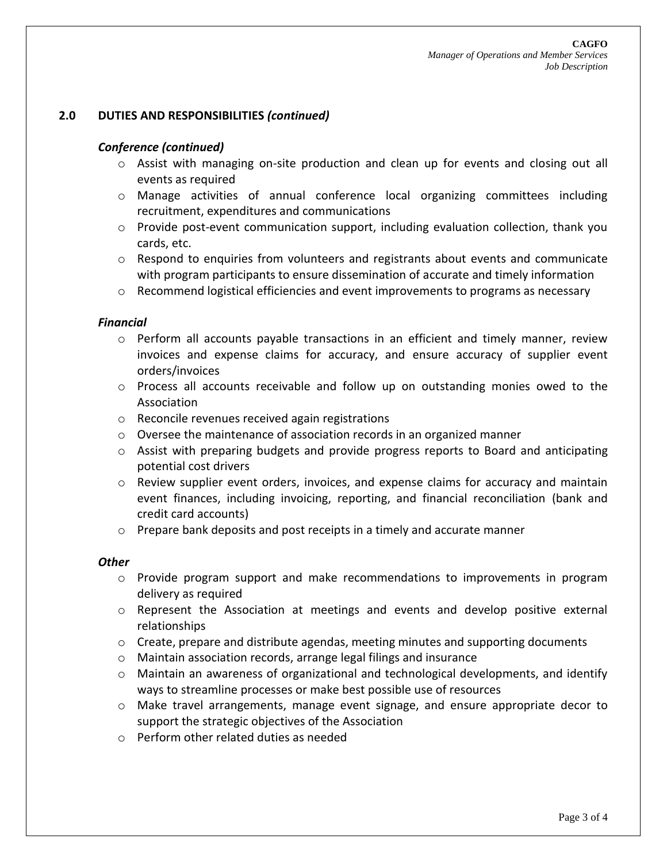# **2.0 DUTIES AND RESPONSIBILITIES** *(continued)*

#### *Conference (continued)*

- $\circ$  Assist with managing on-site production and clean up for events and closing out all events as required
- o Manage activities of annual conference local organizing committees including recruitment, expenditures and communications
- o Provide post-event communication support, including evaluation collection, thank you cards, etc.
- $\circ$  Respond to enquiries from volunteers and registrants about events and communicate with program participants to ensure dissemination of accurate and timely information
- $\circ$  Recommend logistical efficiencies and event improvements to programs as necessary

#### *Financial*

- $\circ$  Perform all accounts payable transactions in an efficient and timely manner, review invoices and expense claims for accuracy, and ensure accuracy of supplier event orders/invoices
- o Process all accounts receivable and follow up on outstanding monies owed to the Association
- o Reconcile revenues received again registrations
- o Oversee the maintenance of association records in an organized manner
- $\circ$  Assist with preparing budgets and provide progress reports to Board and anticipating potential cost drivers
- $\circ$  Review supplier event orders, invoices, and expense claims for accuracy and maintain event finances, including invoicing, reporting, and financial reconciliation (bank and credit card accounts)
- $\circ$  Prepare bank deposits and post receipts in a timely and accurate manner

#### *Other*

- $\circ$  Provide program support and make recommendations to improvements in program delivery as required
- o Represent the Association at meetings and events and develop positive external relationships
- $\circ$  Create, prepare and distribute agendas, meeting minutes and supporting documents
- o Maintain association records, arrange legal filings and insurance
- $\circ$  Maintain an awareness of organizational and technological developments, and identify ways to streamline processes or make best possible use of resources
- $\circ$  Make travel arrangements, manage event signage, and ensure appropriate decor to support the strategic objectives of the Association
- o Perform other related duties as needed